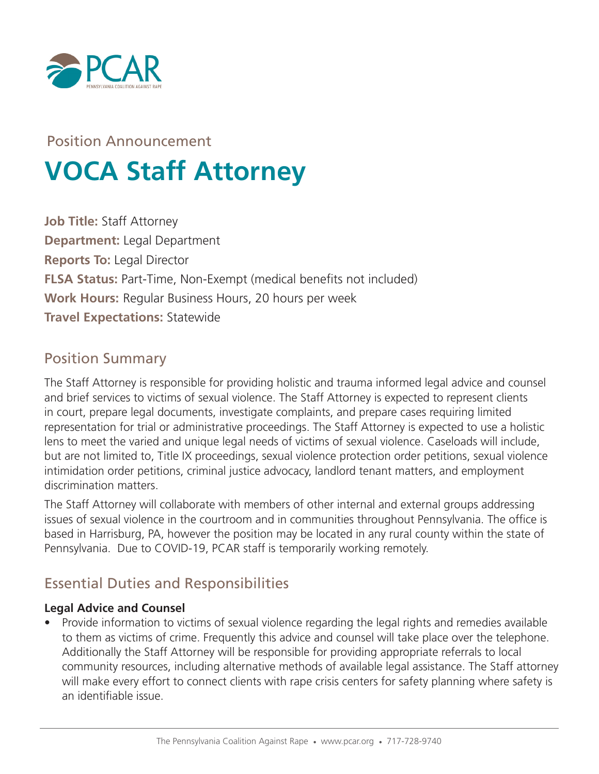

# Position Announcement **VOCA Staff Attorney**

**Job Title:** Staff Attorney **Department:** Legal Department **Reports To:** Legal Director **FLSA Status: Part-Time, Non-Exempt (medical benefits not included) Work Hours:** Regular Business Hours, 20 hours per week **Travel Expectations:** Statewide

#### Position Summary

The Staff Attorney is responsible for providing holistic and trauma informed legal advice and counsel and brief services to victims of sexual violence. The Staff Attorney is expected to represent clients in court, prepare legal documents, investigate complaints, and prepare cases requiring limited representation for trial or administrative proceedings. The Staff Attorney is expected to use a holistic lens to meet the varied and unique legal needs of victims of sexual violence. Caseloads will include, but are not limited to, Title IX proceedings, sexual violence protection order petitions, sexual violence intimidation order petitions, criminal justice advocacy, landlord tenant matters, and employment discrimination matters.

The Staff Attorney will collaborate with members of other internal and external groups addressing issues of sexual violence in the courtroom and in communities throughout Pennsylvania. The office is based in Harrisburg, PA, however the position may be located in any rural county within the state of Pennsylvania. Due to COVID-19, PCAR staff is temporarily working remotely.

# Essential Duties and Responsibilities

#### **Legal Advice and Counsel**

• Provide information to victims of sexual violence regarding the legal rights and remedies available to them as victims of crime. Frequently this advice and counsel will take place over the telephone. Additionally the Staff Attorney will be responsible for providing appropriate referrals to local community resources, including alternative methods of available legal assistance. The Staff attorney will make every effort to connect clients with rape crisis centers for safety planning where safety is an identifiable issue.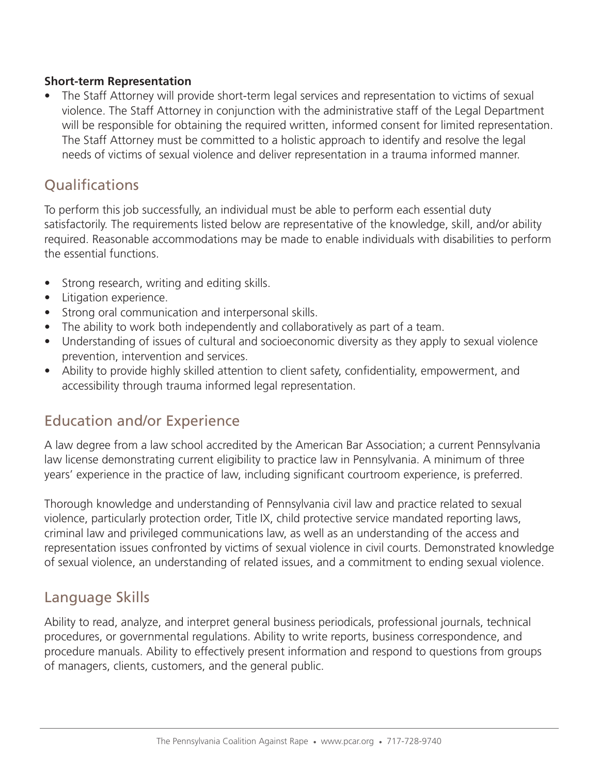#### **Short-term Representation**

• The Staff Attorney will provide short-term legal services and representation to victims of sexual violence. The Staff Attorney in conjunction with the administrative staff of the Legal Department will be responsible for obtaining the required written, informed consent for limited representation. The Staff Attorney must be committed to a holistic approach to identify and resolve the legal needs of victims of sexual violence and deliver representation in a trauma informed manner.

# **Qualifications**

To perform this job successfully, an individual must be able to perform each essential duty satisfactorily. The requirements listed below are representative of the knowledge, skill, and/or ability required. Reasonable accommodations may be made to enable individuals with disabilities to perform the essential functions.

- Strong research, writing and editing skills.
- Litigation experience.
- Strong oral communication and interpersonal skills.
- The ability to work both independently and collaboratively as part of a team.
- Understanding of issues of cultural and socioeconomic diversity as they apply to sexual violence prevention, intervention and services.
- Ability to provide highly skilled attention to client safety, confidentiality, empowerment, and accessibility through trauma informed legal representation.

# Education and/or Experience

A law degree from a law school accredited by the American Bar Association; a current Pennsylvania law license demonstrating current eligibility to practice law in Pennsylvania. A minimum of three years' experience in the practice of law, including significant courtroom experience, is preferred.

Thorough knowledge and understanding of Pennsylvania civil law and practice related to sexual violence, particularly protection order, Title IX, child protective service mandated reporting laws, criminal law and privileged communications law, as well as an understanding of the access and representation issues confronted by victims of sexual violence in civil courts. Demonstrated knowledge of sexual violence, an understanding of related issues, and a commitment to ending sexual violence.

#### Language Skills

Ability to read, analyze, and interpret general business periodicals, professional journals, technical procedures, or governmental regulations. Ability to write reports, business correspondence, and procedure manuals. Ability to effectively present information and respond to questions from groups of managers, clients, customers, and the general public.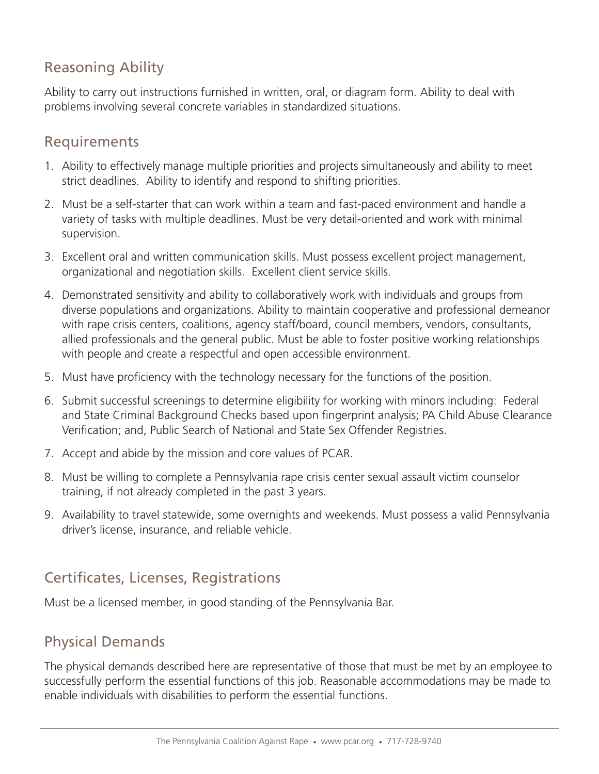# Reasoning Ability

Ability to carry out instructions furnished in written, oral, or diagram form. Ability to deal with problems involving several concrete variables in standardized situations.

#### Requirements

- 1. Ability to effectively manage multiple priorities and projects simultaneously and ability to meet strict deadlines. Ability to identify and respond to shifting priorities.
- 2. Must be a self-starter that can work within a team and fast-paced environment and handle a variety of tasks with multiple deadlines. Must be very detail-oriented and work with minimal supervision.
- 3. Excellent oral and written communication skills. Must possess excellent project management, organizational and negotiation skills. Excellent client service skills.
- 4. Demonstrated sensitivity and ability to collaboratively work with individuals and groups from diverse populations and organizations. Ability to maintain cooperative and professional demeanor with rape crisis centers, coalitions, agency staff/board, council members, vendors, consultants, allied professionals and the general public. Must be able to foster positive working relationships with people and create a respectful and open accessible environment.
- 5. Must have proficiency with the technology necessary for the functions of the position.
- 6. Submit successful screenings to determine eligibility for working with minors including: Federal and State Criminal Background Checks based upon fingerprint analysis; PA Child Abuse Clearance Verification; and, Public Search of National and State Sex Offender Registries.
- 7. Accept and abide by the mission and core values of PCAR.
- 8. Must be willing to complete a Pennsylvania rape crisis center sexual assault victim counselor training, if not already completed in the past 3 years.
- 9. Availability to travel statewide, some overnights and weekends. Must possess a valid Pennsylvania driver's license, insurance, and reliable vehicle.

# Certificates, Licenses, Registrations

Must be a licensed member, in good standing of the Pennsylvania Bar.

#### Physical Demands

The physical demands described here are representative of those that must be met by an employee to successfully perform the essential functions of this job. Reasonable accommodations may be made to enable individuals with disabilities to perform the essential functions.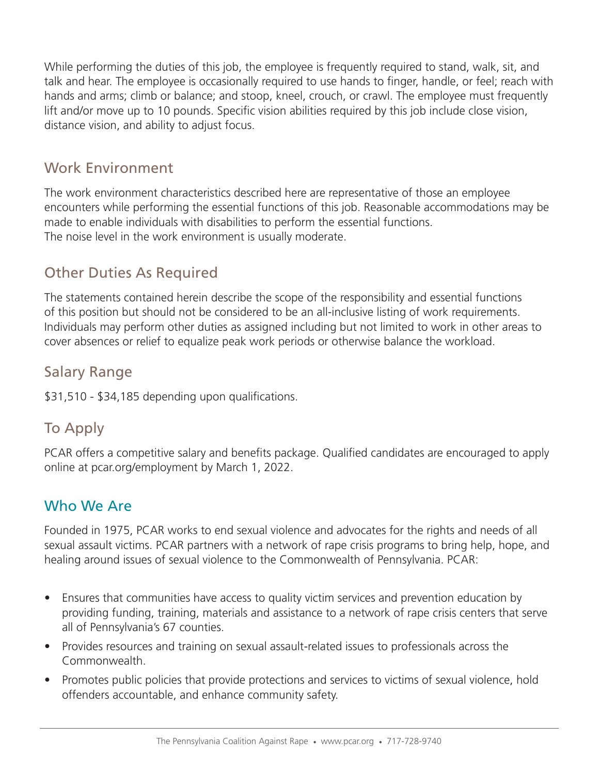While performing the duties of this job, the employee is frequently required to stand, walk, sit, and talk and hear. The employee is occasionally required to use hands to finger, handle, or feel; reach with hands and arms; climb or balance; and stoop, kneel, crouch, or crawl. The employee must frequently lift and/or move up to 10 pounds. Specific vision abilities required by this job include close vision, distance vision, and ability to adjust focus.

#### Work Environment

The work environment characteristics described here are representative of those an employee encounters while performing the essential functions of this job. Reasonable accommodations may be made to enable individuals with disabilities to perform the essential functions. The noise level in the work environment is usually moderate.

# Other Duties As Required

The statements contained herein describe the scope of the responsibility and essential functions of this position but should not be considered to be an all-inclusive listing of work requirements. Individuals may perform other duties as assigned including but not limited to work in other areas to cover absences or relief to equalize peak work periods or otherwise balance the workload.

#### Salary Range

\$31,510 - \$34,185 depending upon qualifications.

# To Apply

PCAR offers a competitive salary and benefits package. Qualified candidates are encouraged to apply online at pcar.org/employment by March 1, 2022.

#### Who We Are

Founded in 1975, PCAR works to end sexual violence and advocates for the rights and needs of all sexual assault victims. PCAR partners with a network of rape crisis programs to bring help, hope, and healing around issues of sexual violence to the Commonwealth of Pennsylvania. PCAR:

- Ensures that communities have access to quality victim services and prevention education by providing funding, training, materials and assistance to a network of rape crisis centers that serve all of Pennsylvania's 67 counties.
- Provides resources and training on sexual assault-related issues to professionals across the Commonwealth.
- Promotes public policies that provide protections and services to victims of sexual violence, hold offenders accountable, and enhance community safety.